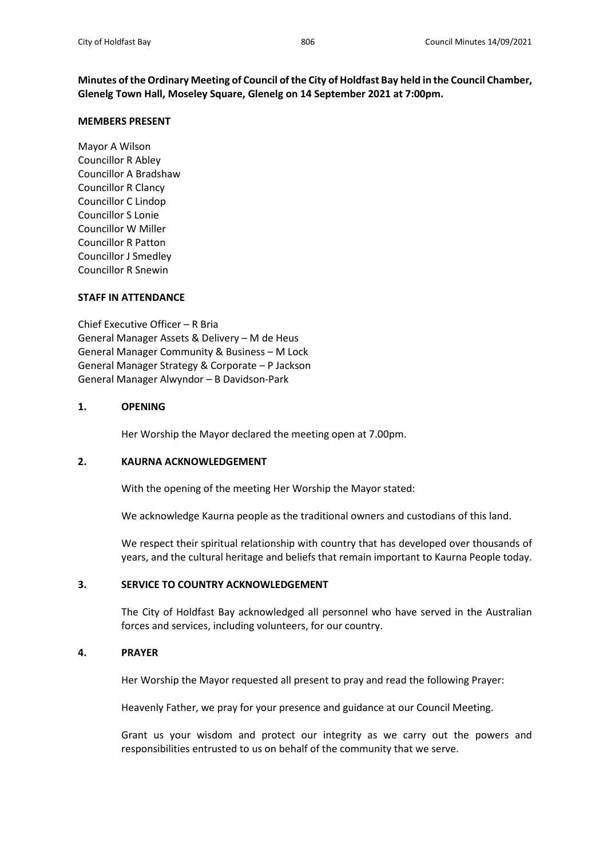**Minutes of the Ordinary Meeting of Council of the City of Holdfast Bay held in the Council Chamber, Glenelg Town Hall, Moseley Square, Glenelg on 14 September 2021 at 7:00pm.**

#### **MEMBERS PRESENT**

Mayor A Wilson Councillor R Abley Councillor A Bradshaw Councillor R Clancy Councillor C Lindop Councillor S Lonie Councillor W Miller Councillor R Patton Councillor J Smedley Councillor R Snewin

## **STAFF IN ATTENDANCE**

Chief Executive Officer – R Bria General Manager Assets & Delivery – M de Heus General Manager Community & Business – M Lock General Manager Strategy & Corporate – P Jackson General Manager Alwyndor – B Davidson-Park

## **1. OPENING**

Her Worship the Mayor declared the meeting open at 7.00pm.

## **2. KAURNA ACKNOWLEDGEMENT**

With the opening of the meeting Her Worship the Mayor stated:

We acknowledge Kaurna people as the traditional owners and custodians of this land.

We respect their spiritual relationship with country that has developed over thousands of years, and the cultural heritage and beliefs that remain important to Kaurna People today.

## **3. SERVICE TO COUNTRY ACKNOWLEDGEMENT**

The City of Holdfast Bay acknowledged all personnel who have served in the Australian forces and services, including volunteers, for our country.

## **4. PRAYER**

Her Worship the Mayor requested all present to pray and read the following Prayer:

Heavenly Father, we pray for your presence and guidance at our Council Meeting.

Grant us your wisdom and protect our integrity as we carry out the powers and responsibilities entrusted to us on behalf of the community that we serve.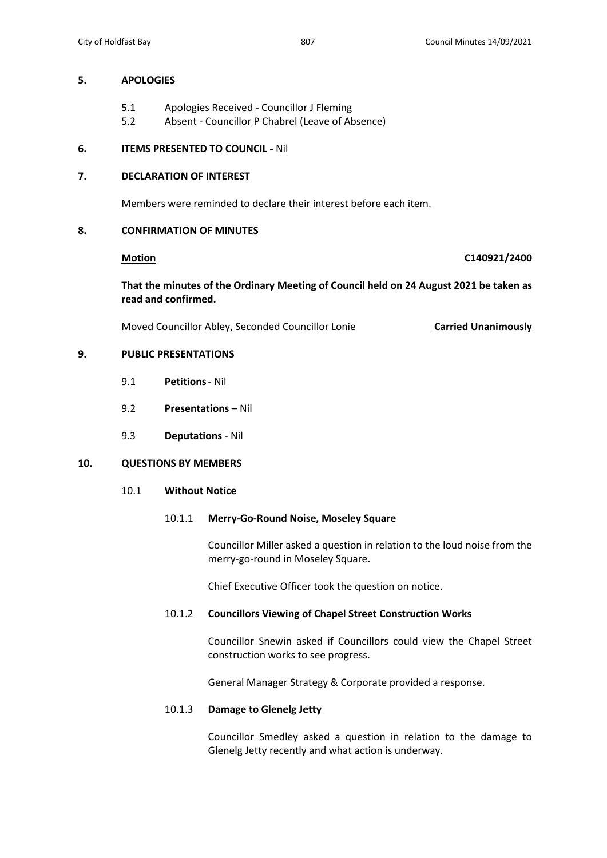## **5. APOLOGIES**

- 5.1 Apologies Received Councillor J Fleming
- 5.2 Absent Councillor P Chabrel (Leave of Absence)

## **6. ITEMS PRESENTED TO COUNCIL -** Nil

## **7. DECLARATION OF INTEREST**

Members were reminded to declare their interest before each item.

## **8. CONFIRMATION OF MINUTES**

## **Motion C140921/2400**

**That the minutes of the Ordinary Meeting of Council held on 24 August 2021 be taken as read and confirmed.**

Moved Councillor Abley, Seconded Councillor Lonie **Carried Unanimously**

## **9. PUBLIC PRESENTATIONS**

- 9.1 **Petitions** Nil
- 9.2 **Presentations** Nil
- 9.3 **Deputations** Nil

## **10. QUESTIONS BY MEMBERS**

10.1 **Without Notice**

## 10.1.1 **Merry-Go-Round Noise, Moseley Square**

Councillor Miller asked a question in relation to the loud noise from the merry-go-round in Moseley Square.

Chief Executive Officer took the question on notice.

## 10.1.2 **Councillors Viewing of Chapel Street Construction Works**

Councillor Snewin asked if Councillors could view the Chapel Street construction works to see progress.

General Manager Strategy & Corporate provided a response.

## 10.1.3 **Damage to Glenelg Jetty**

Councillor Smedley asked a question in relation to the damage to Glenelg Jetty recently and what action is underway.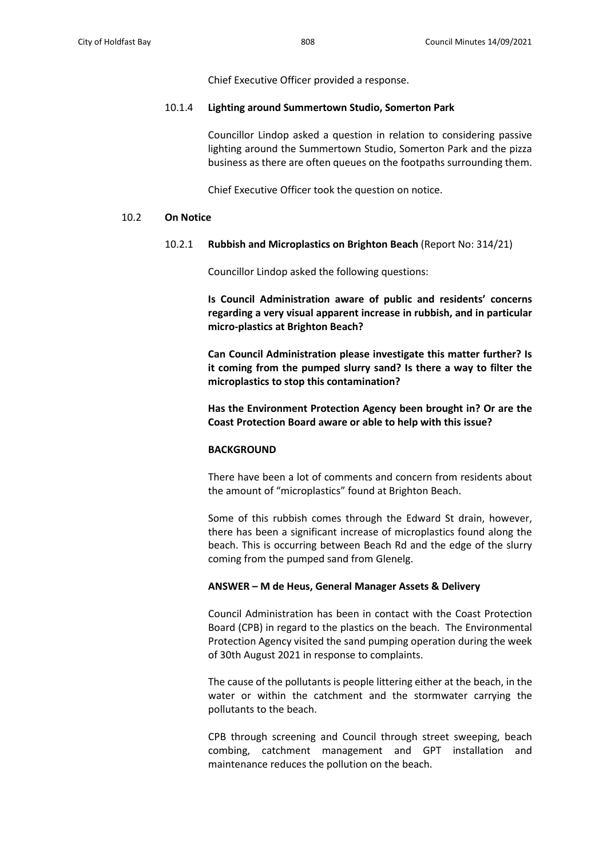Chief Executive Officer provided a response.

#### 10.1.4 **Lighting around Summertown Studio, Somerton Park**

Councillor Lindop asked a question in relation to considering passive lighting around the Summertown Studio, Somerton Park and the pizza business as there are often queues on the footpaths surrounding them.

Chief Executive Officer took the question on notice.

## 10.2 **On Notice**

#### 10.2.1 **Rubbish and Microplastics on Brighton Beach** (Report No: 314/21)

Councillor Lindop asked the following questions:

**Is Council Administration aware of public and residents' concerns regarding a very visual apparent increase in rubbish, and in particular micro-plastics at Brighton Beach?** 

**Can Council Administration please investigate this matter further? Is it coming from the pumped slurry sand? Is there a way to filter the microplastics to stop this contamination?**

**Has the Environment Protection Agency been brought in? Or are the Coast Protection Board aware or able to help with this issue?**

#### **BACKGROUND**

There have been a lot of comments and concern from residents about the amount of "microplastics" found at Brighton Beach.

Some of this rubbish comes through the Edward St drain, however, there has been a significant increase of microplastics found along the beach. This is occurring between Beach Rd and the edge of the slurry coming from the pumped sand from Glenelg.

## **ANSWER – M de Heus, General Manager Assets & Delivery**

Council Administration has been in contact with the Coast Protection Board (CPB) in regard to the plastics on the beach. The Environmental Protection Agency visited the sand pumping operation during the week of 30th August 2021 in response to complaints.

The cause of the pollutants is people littering either at the beach, in the water or within the catchment and the stormwater carrying the pollutants to the beach.

CPB through screening and Council through street sweeping, beach combing, catchment management and GPT installation and maintenance reduces the pollution on the beach.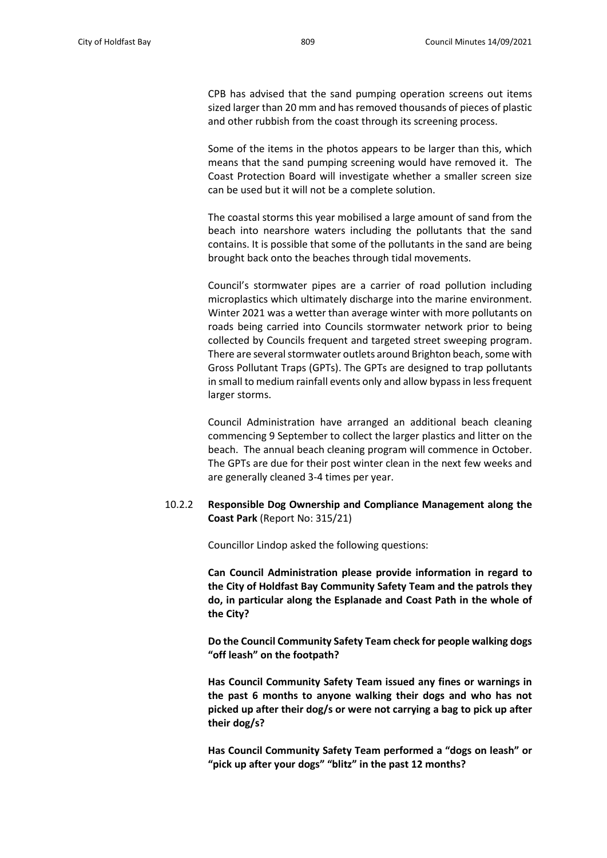CPB has advised that the sand pumping operation screens out items sized larger than 20 mm and has removed thousands of pieces of plastic and other rubbish from the coast through its screening process.

Some of the items in the photos appears to be larger than this, which means that the sand pumping screening would have removed it. The Coast Protection Board will investigate whether a smaller screen size can be used but it will not be a complete solution.

The coastal storms this year mobilised a large amount of sand from the beach into nearshore waters including the pollutants that the sand contains. It is possible that some of the pollutants in the sand are being brought back onto the beaches through tidal movements.

Council's stormwater pipes are a carrier of road pollution including microplastics which ultimately discharge into the marine environment. Winter 2021 was a wetter than average winter with more pollutants on roads being carried into Councils stormwater network prior to being collected by Councils frequent and targeted street sweeping program. There are several stormwater outlets around Brighton beach, some with Gross Pollutant Traps (GPTs). The GPTs are designed to trap pollutants in small to medium rainfall events only and allow bypass in less frequent larger storms.

Council Administration have arranged an additional beach cleaning commencing 9 September to collect the larger plastics and litter on the beach. The annual beach cleaning program will commence in October. The GPTs are due for their post winter clean in the next few weeks and are generally cleaned 3-4 times per year.

## 10.2.2 **Responsible Dog Ownership and Compliance Management along the Coast Park** (Report No: 315/21)

Councillor Lindop asked the following questions:

**Can Council Administration please provide information in regard to the City of Holdfast Bay Community Safety Team and the patrols they do, in particular along the Esplanade and Coast Path in the whole of the City?** 

**Do the Council Community Safety Team check for people walking dogs "off leash" on the footpath?**

**Has Council Community Safety Team issued any fines or warnings in the past 6 months to anyone walking their dogs and who has not picked up after their dog/s or were not carrying a bag to pick up after their dog/s?**

**Has Council Community Safety Team performed a "dogs on leash" or "pick up after your dogs" "blitz" in the past 12 months?**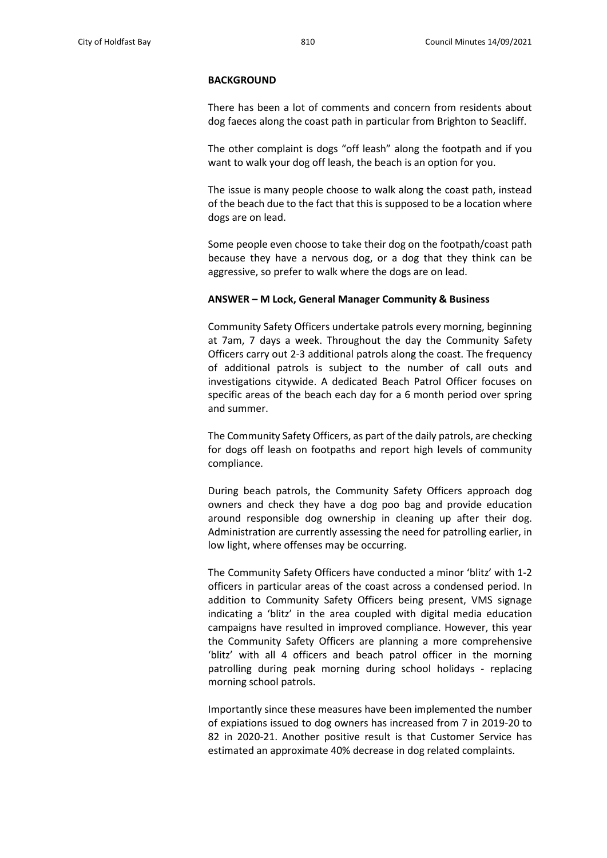#### **BACKGROUND**

There has been a lot of comments and concern from residents about dog faeces along the coast path in particular from Brighton to Seacliff.

The other complaint is dogs "off leash" along the footpath and if you want to walk your dog off leash, the beach is an option for you.

The issue is many people choose to walk along the coast path, instead of the beach due to the fact that this is supposed to be a location where dogs are on lead.

Some people even choose to take their dog on the footpath/coast path because they have a nervous dog, or a dog that they think can be aggressive, so prefer to walk where the dogs are on lead.

#### **ANSWER – M Lock, General Manager Community & Business**

Community Safety Officers undertake patrols every morning, beginning at 7am, 7 days a week. Throughout the day the Community Safety Officers carry out 2-3 additional patrols along the coast. The frequency of additional patrols is subject to the number of call outs and investigations citywide. A dedicated Beach Patrol Officer focuses on specific areas of the beach each day for a 6 month period over spring and summer.

The Community Safety Officers, as part of the daily patrols, are checking for dogs off leash on footpaths and report high levels of community compliance.

During beach patrols, the Community Safety Officers approach dog owners and check they have a dog poo bag and provide education around responsible dog ownership in cleaning up after their dog. Administration are currently assessing the need for patrolling earlier, in low light, where offenses may be occurring.

The Community Safety Officers have conducted a minor 'blitz' with 1-2 officers in particular areas of the coast across a condensed period. In addition to Community Safety Officers being present, VMS signage indicating a 'blitz' in the area coupled with digital media education campaigns have resulted in improved compliance. However, this year the Community Safety Officers are planning a more comprehensive 'blitz' with all 4 officers and beach patrol officer in the morning patrolling during peak morning during school holidays - replacing morning school patrols.

Importantly since these measures have been implemented the number of expiations issued to dog owners has increased from 7 in 2019-20 to 82 in 2020-21. Another positive result is that Customer Service has estimated an approximate 40% decrease in dog related complaints.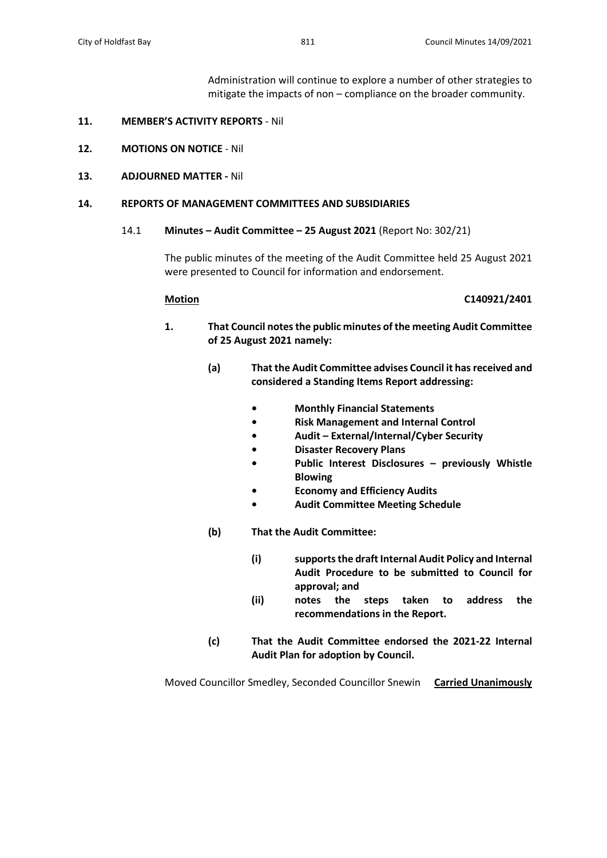Administration will continue to explore a number of other strategies to mitigate the impacts of non – compliance on the broader community.

## **11. MEMBER'S ACTIVITY REPORTS** - Nil

- **12. MOTIONS ON NOTICE** Nil
- **13. ADJOURNED MATTER -** Nil

#### **14. REPORTS OF MANAGEMENT COMMITTEES AND SUBSIDIARIES**

## 14.1 **Minutes – Audit Committee – 25 August 2021** (Report No: 302/21)

The public minutes of the meeting of the Audit Committee held 25 August 2021 were presented to Council for information and endorsement.

## **Motion C140921/2401**

- **1. That Council notes the public minutes of the meeting Audit Committee of 25 August 2021 namely:**
	- **(a) That the Audit Committee advises Council it has received and considered a Standing Items Report addressing:**
		- **• Monthly Financial Statements**
		- **• Risk Management and Internal Control**
		- **• Audit – External/Internal/Cyber Security**
		- **• Disaster Recovery Plans**
		- **• Public Interest Disclosures – previously Whistle Blowing**
		- **• Economy and Efficiency Audits**
			- **• Audit Committee Meeting Schedule**
	- **(b) That the Audit Committee:**
		- **(i) supports the draft Internal Audit Policy and Internal Audit Procedure to be submitted to Council for approval; and**
		- **(ii) notes the steps taken to address the recommendations in the Report.**
	- **(c) That the Audit Committee endorsed the 2021-22 Internal Audit Plan for adoption by Council.**

Moved Councillor Smedley, Seconded Councillor Snewin **Carried Unanimously**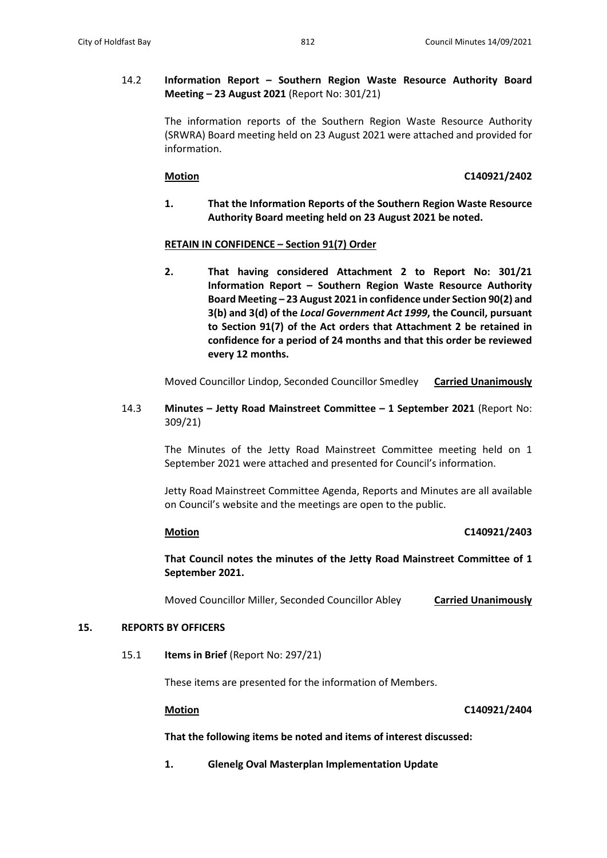## 14.2 **Information Report – Southern Region Waste Resource Authority Board Meeting – 23 August 2021** (Report No: 301/21)

The information reports of the Southern Region Waste Resource Authority (SRWRA) Board meeting held on 23 August 2021 were attached and provided for information.

## **Motion C140921/2402**

**1. That the Information Reports of the Southern Region Waste Resource Authority Board meeting held on 23 August 2021 be noted.**

## **RETAIN IN CONFIDENCE – Section 91(7) Order**

**2. That having considered Attachment 2 to Report No: 301/21 Information Report – Southern Region Waste Resource Authority Board Meeting – 23 August 2021 in confidence under Section 90(2) and 3(b) and 3(d) of the** *Local Government Act 1999***, the Council, pursuant to Section 91(7) of the Act orders that Attachment 2 be retained in confidence for a period of 24 months and that this order be reviewed every 12 months.**

Moved Councillor Lindop, Seconded Councillor Smedley **Carried Unanimously**

14.3 **Minutes – Jetty Road Mainstreet Committee – 1 September 2021** (Report No: 309/21)

> The Minutes of the Jetty Road Mainstreet Committee meeting held on 1 September 2021 were attached and presented for Council's information.

> Jetty Road Mainstreet Committee Agenda, Reports and Minutes are all available on Council's website and the meetings are open to the public.

## **Motion C140921/2403**

**That Council notes the minutes of the Jetty Road Mainstreet Committee of 1 September 2021.**

Moved Councillor Miller, Seconded Councillor Abley **Carried Unanimously**

## **15. REPORTS BY OFFICERS**

15.1 **Items in Brief** (Report No: 297/21)

These items are presented for the information of Members.

## **Motion C140921/2404**

**That the following items be noted and items of interest discussed:** 

**1. Glenelg Oval Masterplan Implementation Update**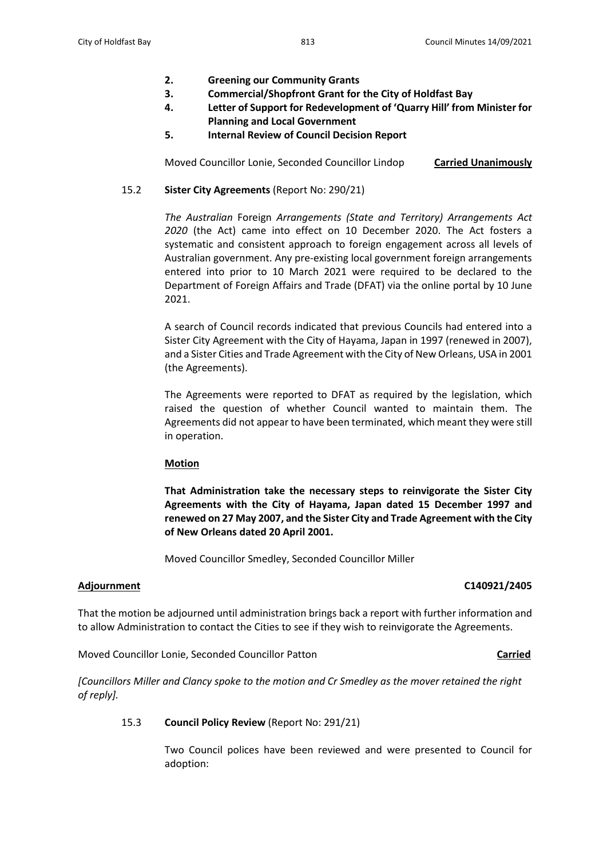- **2. Greening our Community Grants**
- **3. Commercial/Shopfront Grant for the City of Holdfast Bay**
- **4. Letter of Support for Redevelopment of 'Quarry Hill' from Minister for Planning and Local Government**
- **5. Internal Review of Council Decision Report**

Moved Councillor Lonie, Seconded Councillor Lindop **Carried Unanimously**

## 15.2 **Sister City Agreements** (Report No: 290/21)

*The Australian* Foreign *Arrangements (State and Territory) Arrangements Act 2020* (the Act) came into effect on 10 December 2020. The Act fosters a systematic and consistent approach to foreign engagement across all levels of Australian government. Any pre-existing local government foreign arrangements entered into prior to 10 March 2021 were required to be declared to the Department of Foreign Affairs and Trade (DFAT) via the online portal by 10 June 2021.

A search of Council records indicated that previous Councils had entered into a Sister City Agreement with the City of Hayama, Japan in 1997 (renewed in 2007), and a Sister Cities and Trade Agreement with the City of New Orleans, USA in 2001 (the Agreements).

The Agreements were reported to DFAT as required by the legislation, which raised the question of whether Council wanted to maintain them. The Agreements did not appear to have been terminated, which meant they were still in operation.

## **Motion**

**That Administration take the necessary steps to reinvigorate the Sister City Agreements with the City of Hayama, Japan dated 15 December 1997 and renewed on 27 May 2007, and the Sister City and Trade Agreement with the City of New Orleans dated 20 April 2001.** 

Moved Councillor Smedley, Seconded Councillor Miller

## **Adjournment C140921/2405**

That the motion be adjourned until administration brings back a report with further information and to allow Administration to contact the Cities to see if they wish to reinvigorate the Agreements.

Moved Councillor Lonie, Seconded Councillor Patton **Carried**

*[Councillors Miller and Clancy spoke to the motion and Cr Smedley as the mover retained the right of reply].*

## 15.3 **Council Policy Review** (Report No: 291/21)

Two Council polices have been reviewed and were presented to Council for adoption: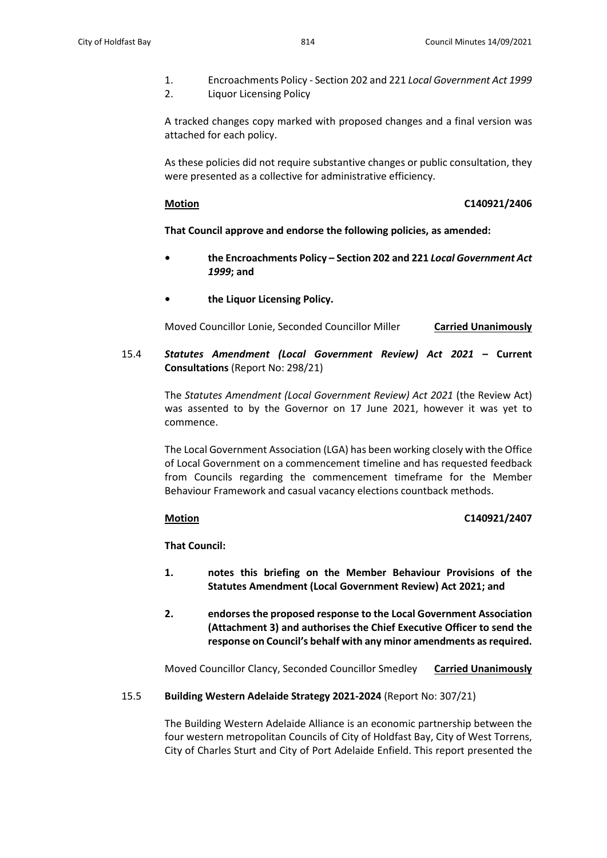- 1. Encroachments Policy Section 202 and 221 *Local Government Act 1999*
- 2. Liquor Licensing Policy

A tracked changes copy marked with proposed changes and a final version was attached for each policy.

As these policies did not require substantive changes or public consultation, they were presented as a collective for administrative efficiency.

#### **Motion C140921/2406**

## **That Council approve and endorse the following policies, as amended:**

- **• the Encroachments Policy – Section 202 and 221** *Local Government Act 1999***; and**
- **• the Liquor Licensing Policy.**

Moved Councillor Lonie, Seconded Councillor Miller **Carried Unanimously**

15.4 *Statutes Amendment (Local Government Review) Act 2021* **– Current Consultations** (Report No: 298/21)

> The *Statutes Amendment (Local Government Review) Act 2021* (the Review Act) was assented to by the Governor on 17 June 2021, however it was yet to commence.

> The Local Government Association (LGA) has been working closely with the Office of Local Government on a commencement timeline and has requested feedback from Councils regarding the commencement timeframe for the Member Behaviour Framework and casual vacancy elections countback methods.

## **Motion C140921/2407**

**That Council:**

- **1. notes this briefing on the Member Behaviour Provisions of the Statutes Amendment (Local Government Review) Act 2021; and**
- **2. endorses the proposed response to the Local Government Association (Attachment 3) and authorises the Chief Executive Officer to send the response on Council's behalf with any minor amendments as required.**

Moved Councillor Clancy, Seconded Councillor Smedley **Carried Unanimously**

## 15.5 **Building Western Adelaide Strategy 2021-2024** (Report No: 307/21)

The Building Western Adelaide Alliance is an economic partnership between the four western metropolitan Councils of City of Holdfast Bay, City of West Torrens, City of Charles Sturt and City of Port Adelaide Enfield. This report presented the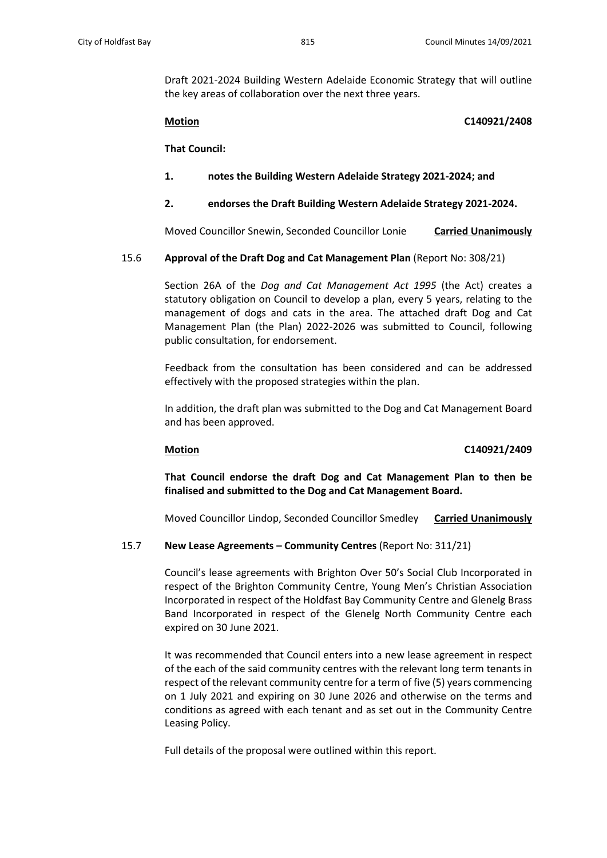Draft 2021-2024 Building Western Adelaide Economic Strategy that will outline the key areas of collaboration over the next three years.

## **Motion C140921/2408**

**That Council:**

- **1. notes the Building Western Adelaide Strategy 2021-2024; and**
- **2. endorses the Draft Building Western Adelaide Strategy 2021-2024.**

Moved Councillor Snewin, Seconded Councillor Lonie **Carried Unanimously**

15.6 **Approval of the Draft Dog and Cat Management Plan** (Report No: 308/21)

Section 26A of the *Dog and Cat Management Act 1995* (the Act) creates a statutory obligation on Council to develop a plan, every 5 years, relating to the management of dogs and cats in the area. The attached draft Dog and Cat Management Plan (the Plan) 2022-2026 was submitted to Council, following public consultation, for endorsement.

Feedback from the consultation has been considered and can be addressed effectively with the proposed strategies within the plan.

In addition, the draft plan was submitted to the Dog and Cat Management Board and has been approved.

## **Motion C140921/2409**

**That Council endorse the draft Dog and Cat Management Plan to then be finalised and submitted to the Dog and Cat Management Board.**

Moved Councillor Lindop, Seconded Councillor Smedley **Carried Unanimously**

## 15.7 **New Lease Agreements – Community Centres** (Report No: 311/21)

Council's lease agreements with Brighton Over 50's Social Club Incorporated in respect of the Brighton Community Centre, Young Men's Christian Association Incorporated in respect of the Holdfast Bay Community Centre and Glenelg Brass Band Incorporated in respect of the Glenelg North Community Centre each expired on 30 June 2021.

It was recommended that Council enters into a new lease agreement in respect of the each of the said community centres with the relevant long term tenants in respect of the relevant community centre for a term of five (5) years commencing on 1 July 2021 and expiring on 30 June 2026 and otherwise on the terms and conditions as agreed with each tenant and as set out in the Community Centre Leasing Policy.

Full details of the proposal were outlined within this report.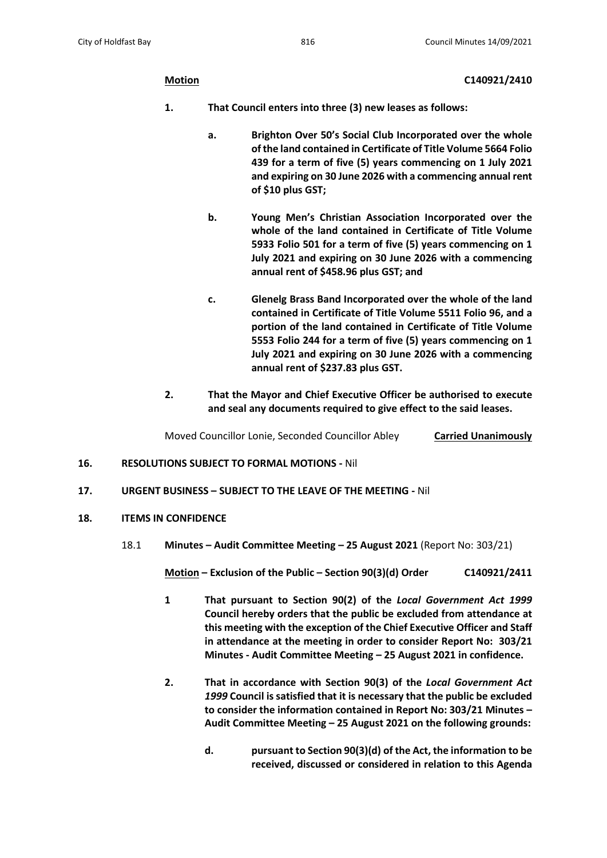**Motion C140921/2410**

- **1. That Council enters into three (3) new leases as follows:**
	- **a. Brighton Over 50's Social Club Incorporated over the whole of the land contained in Certificate of Title Volume 5664 Folio 439 for a term of five (5) years commencing on 1 July 2021 and expiring on 30 June 2026 with a commencing annual rent of \$10 plus GST;**
	- **b. Young Men's Christian Association Incorporated over the whole of the land contained in Certificate of Title Volume 5933 Folio 501 for a term of five (5) years commencing on 1 July 2021 and expiring on 30 June 2026 with a commencing annual rent of \$458.96 plus GST; and**
	- **c. Glenelg Brass Band Incorporated over the whole of the land contained in Certificate of Title Volume 5511 Folio 96, and a portion of the land contained in Certificate of Title Volume 5553 Folio 244 for a term of five (5) years commencing on 1 July 2021 and expiring on 30 June 2026 with a commencing annual rent of \$237.83 plus GST.**
- **2. That the Mayor and Chief Executive Officer be authorised to execute and seal any documents required to give effect to the said leases.**

Moved Councillor Lonie, Seconded Councillor Abley **Carried Unanimously**

- **16. RESOLUTIONS SUBJECT TO FORMAL MOTIONS -** Nil
- **17. URGENT BUSINESS – SUBJECT TO THE LEAVE OF THE MEETING -** Nil
- **18. ITEMS IN CONFIDENCE**
	- 18.1 **Minutes – Audit Committee Meeting – 25 August 2021** (Report No: 303/21)

**Motion – Exclusion of the Public – Section 90(3)(d) Order C140921/2411**

- **1 That pursuant to Section 90(2) of the** *Local Government Act 1999* **Council hereby orders that the public be excluded from attendance at this meeting with the exception of the Chief Executive Officer and Staff in attendance at the meeting in order to consider Report No: 303/21 Minutes - Audit Committee Meeting – 25 August 2021 in confidence.**
- **2. That in accordance with Section 90(3) of the** *Local Government Act 1999* **Council is satisfied that it is necessary that the public be excluded to consider the information contained in Report No: 303/21 Minutes – Audit Committee Meeting – 25 August 2021 on the following grounds:**
	- **d. pursuant to Section 90(3)(d) of the Act, the information to be received, discussed or considered in relation to this Agenda**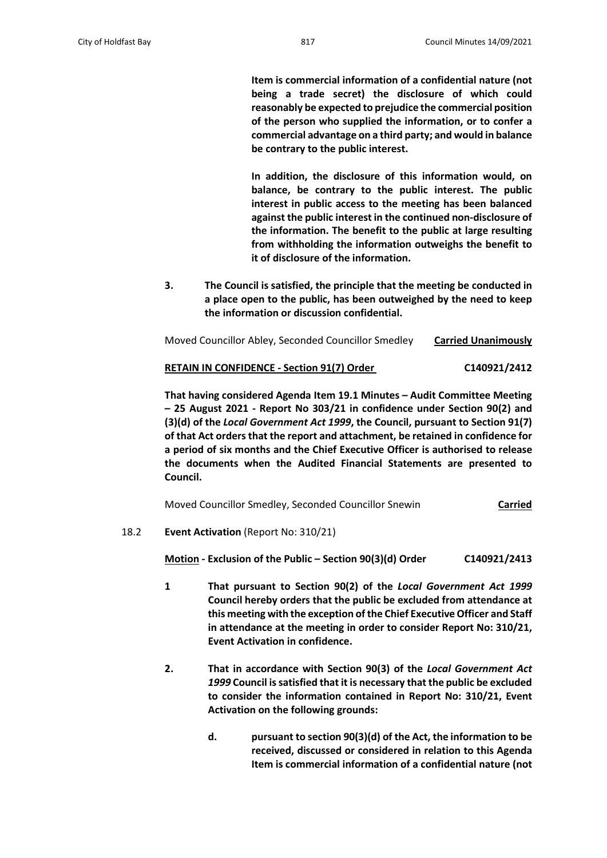**Item is commercial information of a confidential nature (not being a trade secret) the disclosure of which could reasonably be expected to prejudice the commercial position of the person who supplied the information, or to confer a commercial advantage on a third party; and would in balance be contrary to the public interest.**

**In addition, the disclosure of this information would, on balance, be contrary to the public interest. The public interest in public access to the meeting has been balanced against the public interest in the continued non-disclosure of the information. The benefit to the public at large resulting from withholding the information outweighs the benefit to it of disclosure of the information.** 

**3. The Council is satisfied, the principle that the meeting be conducted in a place open to the public, has been outweighed by the need to keep the information or discussion confidential.**

| Moved Councillor Abley, Seconded Councillor Smedley | <b>Carried Unanimously</b> |
|-----------------------------------------------------|----------------------------|
|-----------------------------------------------------|----------------------------|

## **RETAIN IN CONFIDENCE - Section 91(7) Order C140921/2412**

**That having considered Agenda Item 19.1 Minutes – Audit Committee Meeting – 25 August 2021 - Report No 303/21 in confidence under Section 90(2) and (3)(d) of the** *Local Government Act 1999***, the Council, pursuant to Section 91(7) of that Act orders that the report and attachment, be retained in confidence for a period of six months and the Chief Executive Officer is authorised to release the documents when the Audited Financial Statements are presented to Council.**

Moved Councillor Smedley, Seconded Councillor Snewin **Carried**

18.2 **Event Activation** (Report No: 310/21)

**Motion - Exclusion of the Public – Section 90(3)(d) Order C140921/2413**

- **1 That pursuant to Section 90(2) of the** *Local Government Act 1999* **Council hereby orders that the public be excluded from attendance at this meeting with the exception of the Chief Executive Officer and Staff in attendance at the meeting in order to consider Report No: 310/21, Event Activation in confidence.**
- **2. That in accordance with Section 90(3) of the** *Local Government Act 1999* **Council is satisfied that it is necessary that the public be excluded to consider the information contained in Report No: 310/21, Event Activation on the following grounds:**
	- **d. pursuant to section 90(3)(d) of the Act, the information to be received, discussed or considered in relation to this Agenda Item is commercial information of a confidential nature (not**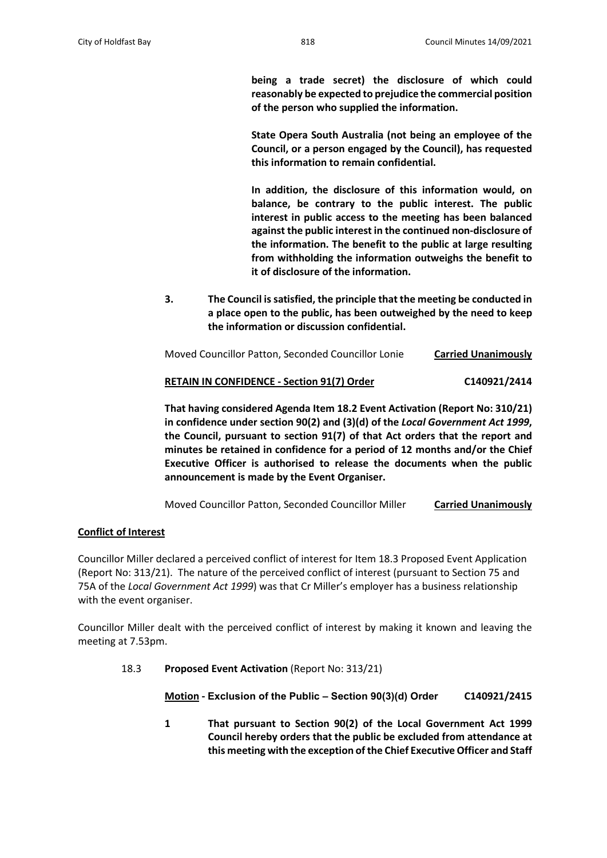**being a trade secret) the disclosure of which could reasonably be expected to prejudice the commercial position of the person who supplied the information.**

**State Opera South Australia (not being an employee of the Council, or a person engaged by the Council), has requested this information to remain confidential.**

**In addition, the disclosure of this information would, on balance, be contrary to the public interest. The public interest in public access to the meeting has been balanced against the public interest in the continued non-disclosure of the information. The benefit to the public at large resulting from withholding the information outweighs the benefit to it of disclosure of the information.** 

**3. The Council is satisfied, the principle that the meeting be conducted in a place open to the public, has been outweighed by the need to keep the information or discussion confidential.**

| Moved Councillor Patton, Seconded Councillor Lonie | <b>Carried Unanimously</b> |
|----------------------------------------------------|----------------------------|
|                                                    |                            |

# **RETAIN IN CONFIDENCE - Section 91(7) Order C140921/2414**

**That having considered Agenda Item 18.2 Event Activation (Report No: 310/21) in confidence under section 90(2) and (3)(d) of the** *Local Government Act 1999***, the Council, pursuant to section 91(7) of that Act orders that the report and minutes be retained in confidence for a period of 12 months and/or the Chief Executive Officer is authorised to release the documents when the public announcement is made by the Event Organiser.**

Moved Councillor Patton, Seconded Councillor Miller **Carried Unanimously**

## **Conflict of Interest**

Councillor Miller declared a perceived conflict of interest for Item 18.3 Proposed Event Application (Report No: 313/21). The nature of the perceived conflict of interest (pursuant to Section 75 and 75A of the *Local Government Act 1999*) was that Cr Miller's employer has a business relationship with the event organiser.

Councillor Miller dealt with the perceived conflict of interest by making it known and leaving the meeting at 7.53pm.

18.3 **Proposed Event Activation** (Report No: 313/21)

**Motion - Exclusion of the Public – Section 90(3)(d) Order C140921/2415**

**1 That pursuant to Section 90(2) of the Local Government Act 1999 Council hereby orders that the public be excluded from attendance at this meeting with the exception of the Chief Executive Officer and Staff**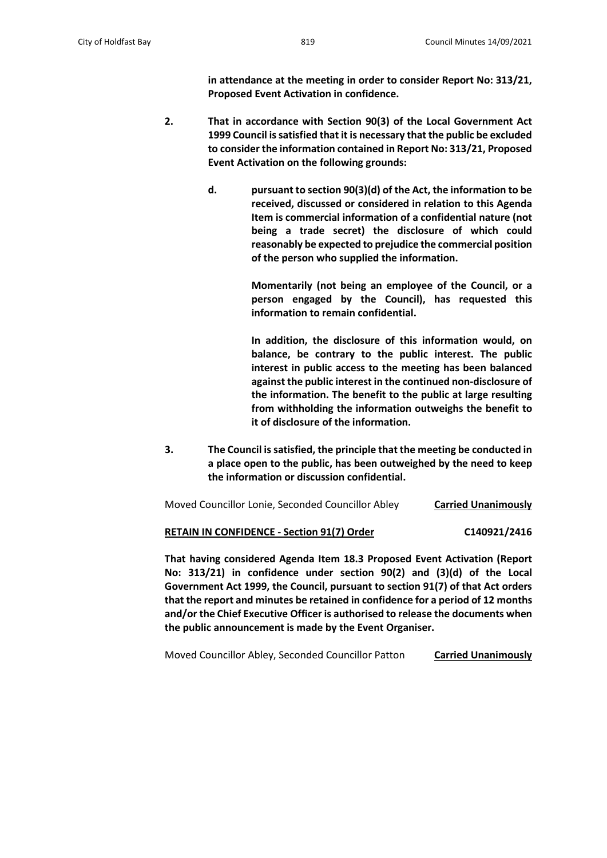**in attendance at the meeting in order to consider Report No: 313/21, Proposed Event Activation in confidence.**

- **2. That in accordance with Section 90(3) of the Local Government Act 1999 Council is satisfied that it is necessary that the public be excluded to consider the information contained in Report No: 313/21, Proposed Event Activation on the following grounds:**
	- **d. pursuant to section 90(3)(d) of the Act, the information to be received, discussed or considered in relation to this Agenda Item is commercial information of a confidential nature (not being a trade secret) the disclosure of which could reasonably be expected to prejudice the commercial position of the person who supplied the information.**

**Momentarily (not being an employee of the Council, or a person engaged by the Council), has requested this information to remain confidential.**

**In addition, the disclosure of this information would, on balance, be contrary to the public interest. The public interest in public access to the meeting has been balanced against the public interest in the continued non-disclosure of the information. The benefit to the public at large resulting from withholding the information outweighs the benefit to it of disclosure of the information.** 

**3. The Council is satisfied, the principle that the meeting be conducted in a place open to the public, has been outweighed by the need to keep the information or discussion confidential.**

Moved Councillor Lonie, Seconded Councillor Abley **Carried Unanimously**

**RETAIN IN CONFIDENCE - Section 91(7) Order C140921/2416**

**That having considered Agenda Item 18.3 Proposed Event Activation (Report No: 313/21) in confidence under section 90(2) and (3)(d) of the Local Government Act 1999, the Council, pursuant to section 91(7) of that Act orders that the report and minutes be retained in confidence for a period of 12 months and/or the Chief Executive Officer is authorised to release the documents when the public announcement is made by the Event Organiser.**

Moved Councillor Abley, Seconded Councillor Patton **Carried Unanimously**